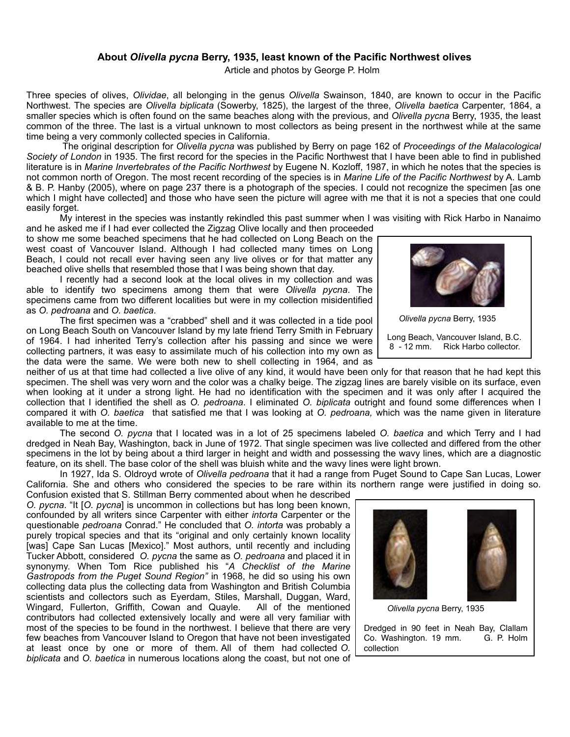## **About** *Olivella pycna* **Berry, 1935, least known of the Pacific Northwest olives**

Article and photos by George P. Holm

Three species of olives, *Olividae*, all belonging in the genus *Olivella* Swainson, 1840, are known to occur in the Pacific Northwest. The species are *Olivella biplicata* (Sowerby, 1825), the largest of the three, *Olivella baetica* Carpenter, 1864, a smaller species which is often found on the same beaches along with the previous, and *Olivella pycna* Berry, 1935, the least common of the three. The last is a virtual unknown to most collectors as being present in the northwest while at the same time being a very commonly collected species in California.

 The original description for *Olivella pycna* was published by Berry on page 162 of *Proceedings of the Malacological Society of London* in 1935. The first record for the species in the Pacific Northwest that I have been able to find in published literature is in *Marine Invertebrates of the Pacific Northwest* by Eugene N. Kozloff, 1987, in which he notes that the species is not common north of Oregon. The most recent recording of the species is in *Marine Life of the Pacific Northwest* by A. Lamb & B. P. Hanby (2005), where on page 237 there is a photograph of the species. I could not recognize the specimen [as one which I might have collected] and those who have seen the picture will agree with me that it is not a species that one could easily forget.

 My interest in the species was instantly rekindled this past summer when I was visiting with Rick Harbo in Nanaimo and he asked me if I had ever collected the Zigzag Olive locally and then proceeded

to show me some beached specimens that he had collected on Long Beach on the west coast of Vancouver Island. Although I had collected many times on Long Beach, I could not recall ever having seen any live olives or for that matter any beached olive shells that resembled those that I was being shown that day.

 I recently had a second look at the local olives in my collection and was able to identify two specimens among them that were *Olivella pycna*. The specimens came from two different localities but were in my collection misidentified as *O. pedroana* and *O. baetica*.

 The first specimen was a "crabbed" shell and it was collected in a tide pool on Long Beach South on Vancouver Island by my late friend Terry Smith in February of 1964. I had inherited Terry's collection after his passing and since we were collecting partners, it was easy to assimilate much of his collection into my own as the data were the same. We were both new to shell collecting in 1964, and as



 *Olivella pycna* Berry, 1935 Long Beach, Vancouver Island, B.C. 8 - 12 mm. Rick Harbo collector.

neither of us at that time had collected a live olive of any kind, it would have been only for that reason that he had kept this specimen. The shell was very worn and the color was a chalky beige. The zigzag lines are barely visible on its surface, even when looking at it under a strong light. He had no identification with the specimen and it was only after I acquired the collection that I identified the shell as *O. pedroana*. I eliminated *O. biplicata* outright and found some differences when I compared it with *O. baetica* that satisfied me that I was looking at *O. pedroana,* which was the name given in literature available to me at the time.

 The second *O. pycna* that I located was in a lot of 25 specimens labeled *O. baetica* and which Terry and I had dredged in Neah Bay, Washington, back in June of 1972. That single specimen was live collected and differed from the other specimens in the lot by being about a third larger in height and width and possessing the wavy lines, which are a diagnostic feature, on its shell. The base color of the shell was bluish white and the wavy lines were light brown.

 In 1927, Ida S. Oldroyd wrote of *Olivella pedroana* that it had a range from Puget Sound to Cape San Lucas, Lower California. She and others who considered the species to be rare within its northern range were justified in doing so.

Confusion existed that S. Stillman Berry commented about when he described *O. pycna*. "It [*O. pycna*] is uncommon in collections but has long been known, confounded by all writers since Carpenter with either *intorta* Carpenter or the questionable *pedroana* Conrad." He concluded that *O. intorta* was probably a purely tropical species and that its "original and only certainly known locality [was] Cape San Lucas [Mexico]." Most authors, until recently and including Tucker Abbott, considered *O. pycna* the same as *O. pedroana* and placed it in synonymy. When Tom Rice published his "*A Checklist of the Marine Gastropods from the Puget Sound Region"* in 1968, he did so using his own collecting data plus the collecting data from Washington and British Columbia scientists and collectors such as Eyerdam, Stiles, Marshall, Duggan, Ward, Wingard, Fullerton, Griffith, Cowan and Quayle. All of the mentioned contributors had collected extensively locally and were all very familiar with most of the species to be found in the northwest. I believe that there are very few beaches from Vancouver Island to Oregon that have not been investigated at least once by one or more of them. All of them had collected *O. biplicata* and *O. baetica* in numerous locations along the coast, but not one of



 *Olivella pycna* Berry, 1935

Dredged in 90 feet in Neah Bay, Clallam Co. Washington. 19 mm. G. P. Holm collection